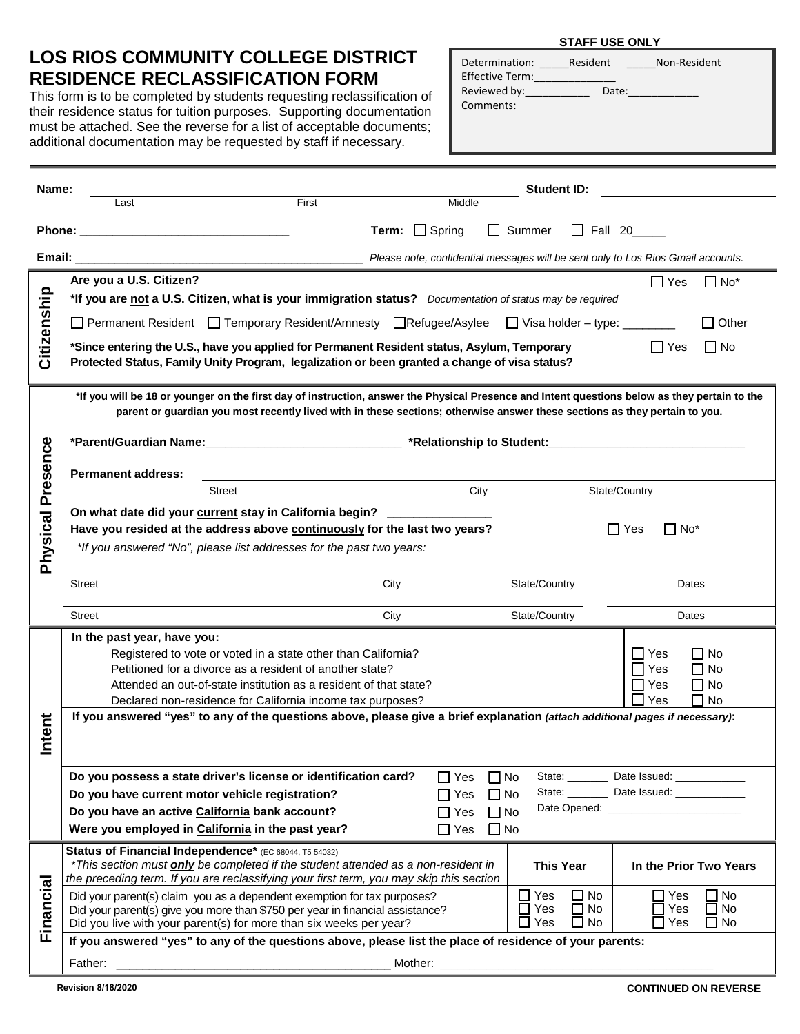## **LOS RIOS COMMUNITY COLLEGE DISTRICT RESIDENCE RECLASSIFICATION FORM**

This form is to be completed by students requesting reclassification of their residence status for tuition purposes. Supporting documentation must be attached. See the reverse for a list of acceptable documents; additional documentation may be requested by staff if necessary.

| Determination:<br>Effective Term: | Resident | Non-Resident |
|-----------------------------------|----------|--------------|
| Reviewed by:<br>Comments:         | Date:    |              |

**STAFF USE ONLY**

| Name:                |                                                                                                                                                                                                                                                                                                                          | <b>Student ID:</b>                                                               |                                                                             |                                                                                |  |  |  |
|----------------------|--------------------------------------------------------------------------------------------------------------------------------------------------------------------------------------------------------------------------------------------------------------------------------------------------------------------------|----------------------------------------------------------------------------------|-----------------------------------------------------------------------------|--------------------------------------------------------------------------------|--|--|--|
|                      | First<br>Last                                                                                                                                                                                                                                                                                                            | Middle                                                                           |                                                                             |                                                                                |  |  |  |
|                      |                                                                                                                                                                                                                                                                                                                          | <b>Term:</b> $\Box$ Spring<br>Summer<br>$\Box$ Fall 20<br>$\mathbf{L}$           |                                                                             |                                                                                |  |  |  |
| Email:               |                                                                                                                                                                                                                                                                                                                          | Please note, confidential messages will be sent only to Los Rios Gmail accounts. |                                                                             |                                                                                |  |  |  |
| Citizenship          | Are you a U.S. Citizen?<br>*If you are not a U.S. Citizen, what is your immigration status? Documentation of status may be required<br>□ Permanent Resident □ Temporary Resident/Amnesty □ Refugee/Asylee □ Visa holder – type: ______                                                                                   |                                                                                  |                                                                             | $\Box$ Yes<br>l INo*                                                           |  |  |  |
|                      |                                                                                                                                                                                                                                                                                                                          |                                                                                  |                                                                             | $\Box$ Other                                                                   |  |  |  |
|                      | *Since entering the U.S., have you applied for Permanent Resident status, Asylum, Temporary<br>$\Box$ Yes<br>l I No<br>Protected Status, Family Unity Program, legalization or been granted a change of visa status?                                                                                                     |                                                                                  |                                                                             |                                                                                |  |  |  |
|                      | *If you will be 18 or younger on the first day of instruction, answer the Physical Presence and Intent questions below as they pertain to the<br>parent or guardian you most recently lived with in these sections; otherwise answer these sections as they pertain to you.                                              |                                                                                  |                                                                             |                                                                                |  |  |  |
|                      | *Parent/Guardian Name:______________________________ *Relationship to Student:____________________________                                                                                                                                                                                                               |                                                                                  |                                                                             |                                                                                |  |  |  |
|                      | <b>Permanent address:</b>                                                                                                                                                                                                                                                                                                |                                                                                  |                                                                             |                                                                                |  |  |  |
| Presence<br>Physical | <b>Street</b>                                                                                                                                                                                                                                                                                                            | City                                                                             | State/Country                                                               |                                                                                |  |  |  |
|                      | On what date did your current stay in California begin? __________<br>Have you resided at the address above continuously for the last two years?<br>l Yes<br>∣No*<br>*If you answered "No", please list addresses for the past two years:                                                                                |                                                                                  |                                                                             |                                                                                |  |  |  |
|                      | State/Country<br><b>Street</b><br>City                                                                                                                                                                                                                                                                                   |                                                                                  |                                                                             | Dates                                                                          |  |  |  |
|                      |                                                                                                                                                                                                                                                                                                                          |                                                                                  |                                                                             |                                                                                |  |  |  |
|                      | <b>Street</b><br>City                                                                                                                                                                                                                                                                                                    | State/Country                                                                    |                                                                             | Dates                                                                          |  |  |  |
|                      | In the past year, have you:<br>Registered to vote or voted in a state other than California?<br>Petitioned for a divorce as a resident of another state?<br>Attended an out-of-state institution as a resident of that state?<br>Declared non-residence for California income tax purposes?                              |                                                                                  |                                                                             | ∏ Yes<br>$\Box$ No<br>$\Box$ No<br>Yes<br>$\Box$ No<br>Yes<br>$\Box$ No<br>Yes |  |  |  |
|                      | If you answered "yes" to any of the questions above, please give a brief explanation (attach additional pages if necessary):                                                                                                                                                                                             |                                                                                  |                                                                             |                                                                                |  |  |  |
| Intent               |                                                                                                                                                                                                                                                                                                                          |                                                                                  |                                                                             |                                                                                |  |  |  |
|                      | Do you possess a state driver's license or identification card?                                                                                                                                                                                                                                                          | $\Box$ No<br>$\Box$ Yes                                                          |                                                                             | State: __________ Date Issued: ______________                                  |  |  |  |
|                      | Do you have current motor vehicle registration?                                                                                                                                                                                                                                                                          | $\Box$ No<br>$\Box$ Yes                                                          |                                                                             | State: __________ Date Issued: ______________                                  |  |  |  |
|                      | Do you have an active California bank account?<br>Were you employed in California in the past year?                                                                                                                                                                                                                      | $\Box$ Yes<br>$\Box$ No                                                          |                                                                             |                                                                                |  |  |  |
|                      |                                                                                                                                                                                                                                                                                                                          | $\Box$ No<br>$\Box$ Yes                                                          |                                                                             |                                                                                |  |  |  |
|                      | Status of Financial Independence* (EC 68044, T5 54032)<br>*This section must only be completed if the student attended as a non-resident in<br>the preceding term. If you are reclassifying your first term, you may skip this section                                                                                   |                                                                                  | <b>This Year</b>                                                            | In the Prior Two Years                                                         |  |  |  |
| Financial            | $\Box$ Yes<br>$\square$ No<br>Did your parent(s) claim you as a dependent exemption for tax purposes?<br>$\Box$ Yes<br>$\Box$ No<br>Did your parent(s) give you more than \$750 per year in financial assistance?<br>$\square$ Yes<br>$\square$ No<br>Did you live with your parent(s) for more than six weeks per year? |                                                                                  | $\square$ No<br>∩ Yes<br>$\sqsupset$ Yes<br>$\Box$ No<br>$\Box$ No<br>∃ Yes |                                                                                |  |  |  |
|                      | If you answered "yes" to any of the questions above, please list the place of residence of your parents:                                                                                                                                                                                                                 |                                                                                  |                                                                             |                                                                                |  |  |  |
|                      |                                                                                                                                                                                                                                                                                                                          |                                                                                  |                                                                             |                                                                                |  |  |  |